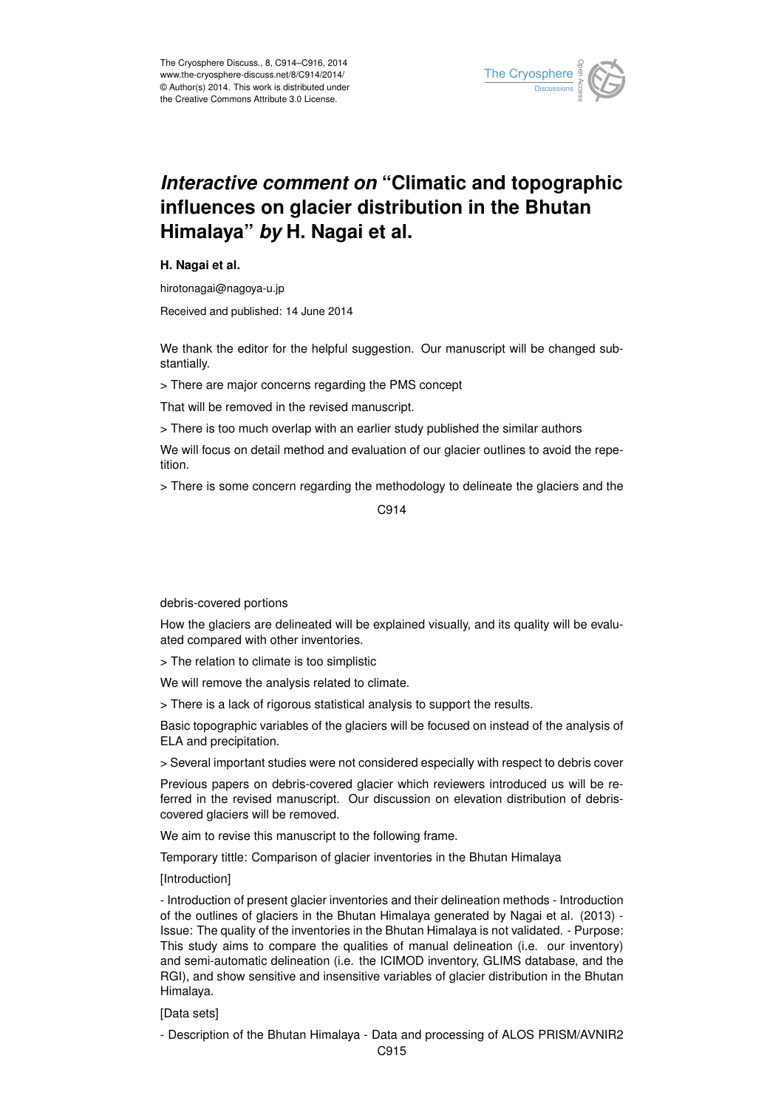

# *Interactive comment on* **"Climatic and topographic influences on glacier distribution in the Bhutan Himalaya"** *by* **H. Nagai et al.**

## **H. Nagai et al.**

hirotonagai@nagoya-u.jp

Received and published: 14 June 2014

We thank the editor for the helpful suggestion. Our manuscript will be changed substantially.

> There are major concerns regarding the PMS concept

That will be removed in the revised manuscript.

> There is too much overlap with an earlier study published the similar authors

We will focus on detail method and evaluation of our glacier outlines to avoid the repetition.

> There is some concern regarding the methodology to delineate the glaciers and the

C914

#### debris-covered portions

How the glaciers are delineated will be explained visually, and its quality will be evaluated compared with other inventories.

> The relation to climate is too simplistic

We will remove the analysis related to climate.

> There is a lack of rigorous statistical analysis to support the results.

Basic topographic variables of the glaciers will be focused on instead of the analysis of ELA and precipitation.

> Several important studies were not considered especially with respect to debris cover

Previous papers on debris-covered glacier which reviewers introduced us will be referred in the revised manuscript. Our discussion on elevation distribution of debriscovered glaciers will be removed.

We aim to revise this manuscript to the following frame.

Temporary tittle: Comparison of glacier inventories in the Bhutan Himalaya

[Introduction]

- Introduction of present glacier inventories and their delineation methods - Introduction of the outlines of glaciers in the Bhutan Himalaya generated by Nagai et al. (2013) - Issue: The quality of the inventories in the Bhutan Himalaya is not validated. - Purpose: This study aims to compare the qualities of manual delineation (i.e. our inventory) and semi-automatic delineation (i.e. the ICIMOD inventory, GLIMS database, and the RGI), and show sensitive and insensitive variables of glacier distribution in the Bhutan Himalaya.

## [Data sets]

- Description of the Bhutan Himalaya - Data and processing of ALOS PRISM/AVNIR2